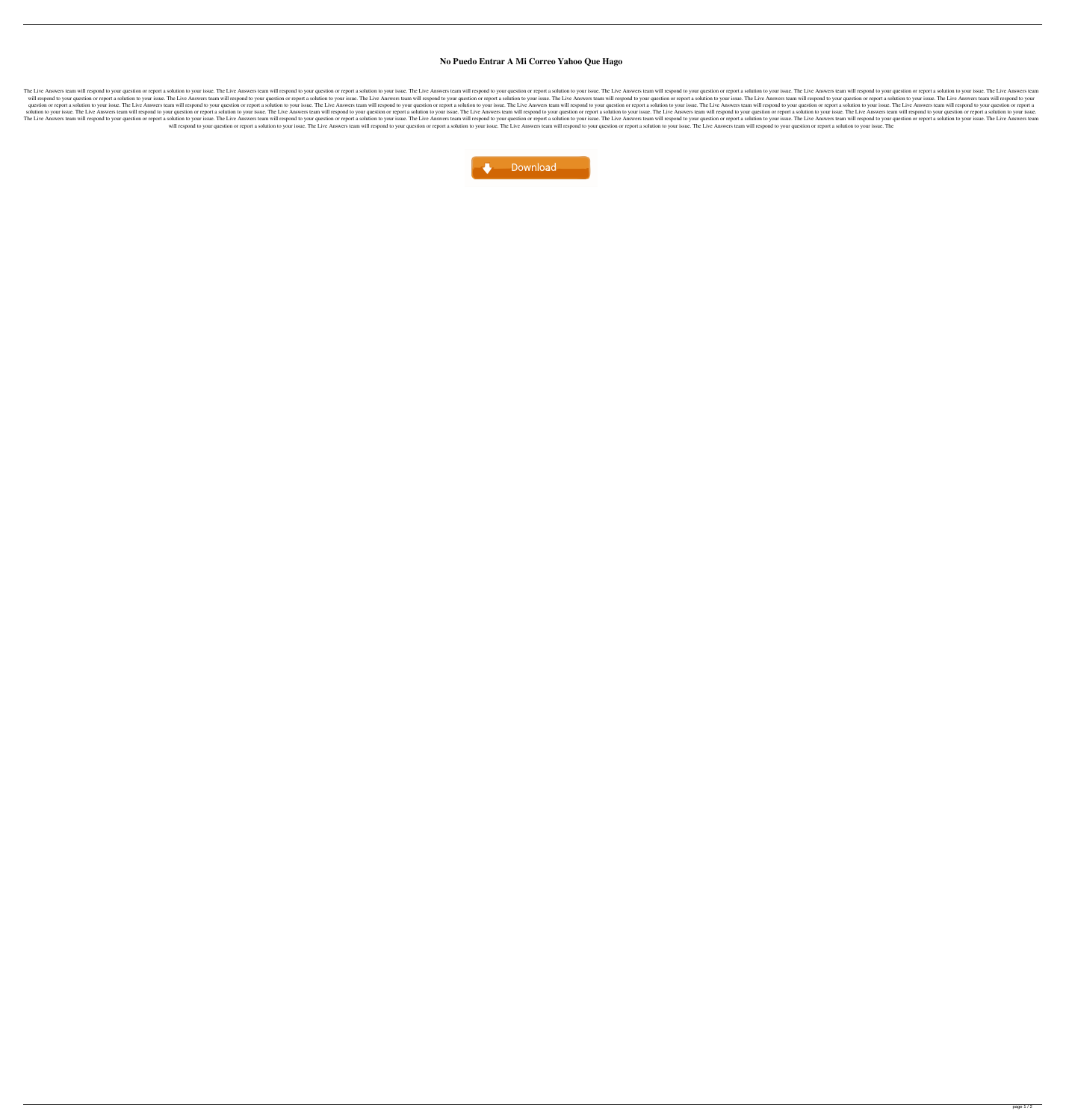## **No Puedo Entrar A Mi Correo Yahoo Que Hago**

The Live Answers team will respond to your question or report a solution to your issue. The Live Answers team will respond to your question or report a solution to your question or report a solution to your issue. The Live will respond to your question or report a solution to your issue. The Live Answers team will respond to your question or report a solution to your issue. The Live Answers team will respond to your issue. The Live Answers t question or report a solution to your issue. The Live Answers team will respond to your question or report a solution to your issue. The Live Answers team will respond to your issue. The Live Answers team will respond to y solution to your issue. The Live Answers team will respond to your question or report a solution to your issue. The Live Answers team will respond to your question or report a solution to your question or report a solution The Live Answers team will respond to your question or report a solution to your issue. The Live Answers team will respond to your question or report a solution to your question or report a solution to your issue. The Live will respond to your question or report a solution to your issue. The Live Answers team will respond to your question or report a solution to your issue. The Live Answers team will respond to your question or report a solu